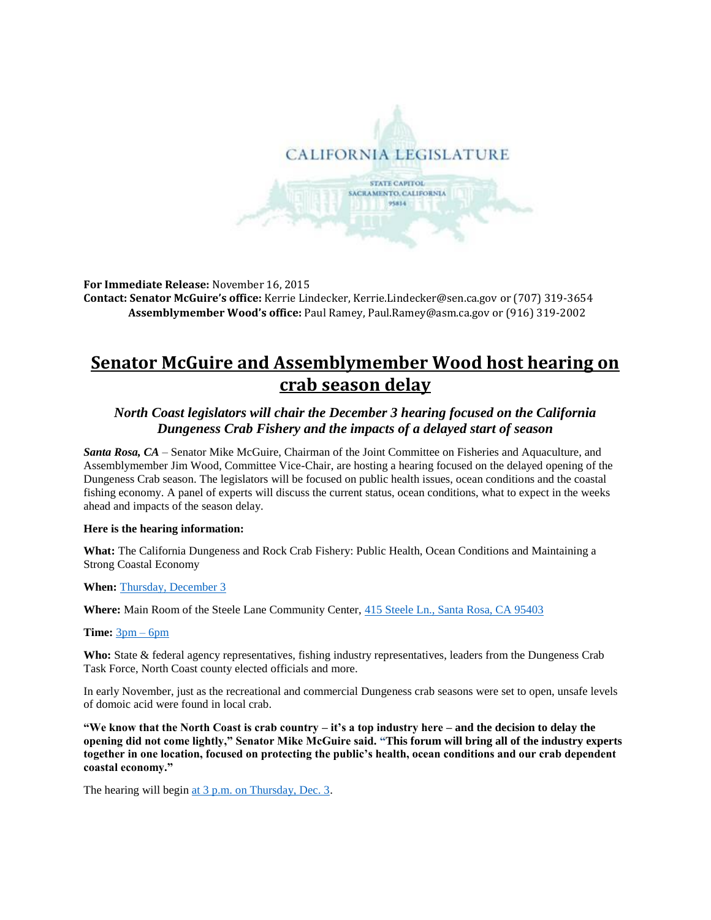

**For Immediate Release:** November 16, 2015 **Contact: Senator McGuire's office:** Kerrie Lindecker[, Kerrie.Lindecker@sen.ca.gov](https://mail.lc.ca.gov/owa/redir.aspx?C=TuCaVlXzrk2ID5ZC3J4w5YWNlRBt8NIIn2OhDeg79NTExYlhTZrxspeNm5a9zmiFBIL2pkkgjT4.&URL=mailto%3aKerrie.Lindecker%40sen.ca.gov) or (707) 319-3654 **Assemblymember Wood's office:** Paul Ramey, [Paul.Ramey@asm.ca.gov](mailto:Paul.Ramey@asm.ca.gov) or (916) 319-2002

# **Senator McGuire and Assemblymember Wood host hearing on crab season delay**

## *North Coast legislators will chair the December 3 hearing focused on the California Dungeness Crab Fishery and the impacts of a delayed start of season*

*Santa Rosa, CA* – Senator Mike McGuire, Chairman of the Joint Committee on Fisheries and Aquaculture, and Assemblymember Jim Wood, Committee Vice-Chair, are hosting a hearing focused on the delayed opening of the Dungeness Crab season. The legislators will be focused on public health issues, ocean conditions and the coastal fishing economy. A panel of experts will discuss the current status, ocean conditions, what to expect in the weeks ahead and impacts of the season delay.

### **Here is the hearing information:**

**What:** The California Dungeness and Rock Crab Fishery: Public Health, Ocean Conditions and Maintaining a Strong Coastal Economy

**When:** [Thursday, December 3](x-apple-data-detectors://9/)

**Where:** Main Room of the Steele Lane Community Center, 415 Steele [Ln., Santa Rosa, CA 95403](x-apple-data-detectors://10/)

#### **Time:** [3pm –](x-apple-data-detectors://11/) 6pm

**Who:** State & federal agency representatives, fishing industry representatives, leaders from the Dungeness Crab Task Force, North Coast county elected officials and more.

In early November, just as the recreational and commercial Dungeness crab seasons were set to open, unsafe levels of domoic acid were found in local crab.

**"We know that the North Coast is crab country – it's a top industry here – and the decision to delay the opening did not come lightly," Senator Mike McGuire said. "This forum will bring all of the industry experts together in one location, focused on protecting the public's health, ocean conditions and our crab dependent coastal economy."**

The hearing will begin [at 3 p.m. on Thursday, Dec. 3.](x-apple-data-detectors://12/)